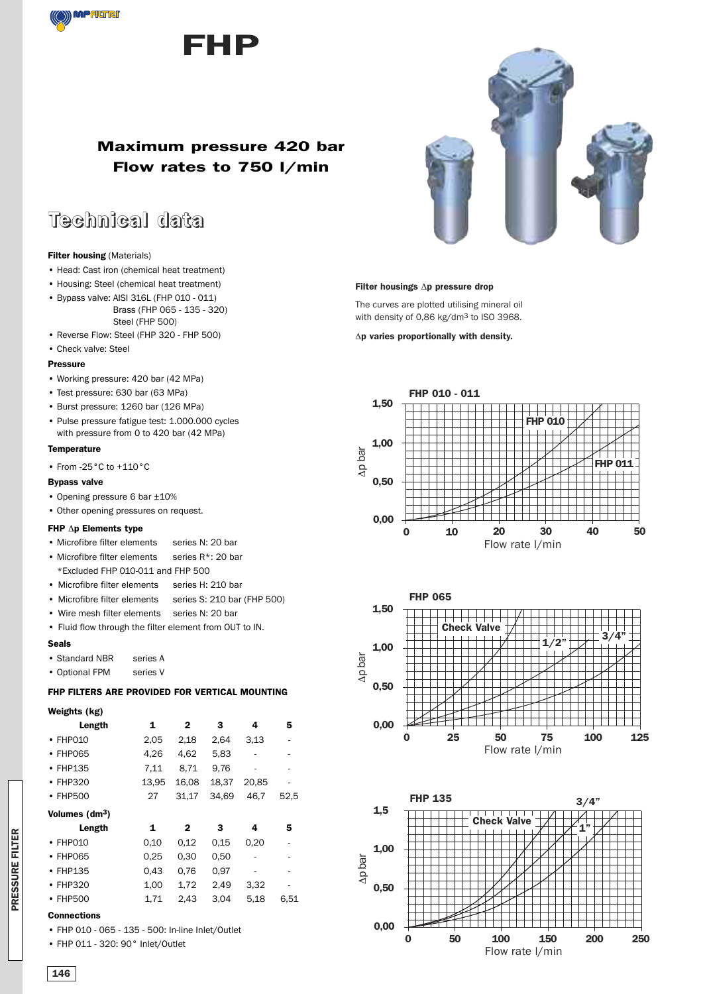



### **Maximum pressure 420 bar Flow rates to 750 l/min**

## **Technical data**

#### **Filter housing** (Materials)

- Head: Cast iron (chemical heat treatment)
- Housing: Steel (chemical heat treatment)
- Bypass valve: AISI 316L (FHP 010 011) Brass (FHP 065 - 135 - 320) Steel (FHP 500)
- Reverse Flow: Steel (FHP 320 FHP 500)

### • Check valve: Steel

#### **Pressure**

- Working pressure: 420 bar (42 MPa)
- Test pressure: 630 bar (63 MPa)
- Burst pressure: 1260 bar (126 MPa)
- Pulse pressure fatigue test: 1.000.000 cycles with pressure from 0 to 420 bar (42 MPa)

#### **Temperature**

• From -25°C to +110°C

#### **Bypass valve**

- Opening pressure 6 bar ±10%
- Other opening pressures on request.

#### **FHP** Δ**p Elements type**

- Microfibre filter elements series N: 20 bar
- Microfibre filter elements series  $R^*$ : 20 bar
- \*Excluded FHP 010-011 and FHP 500
- Microfibre filter elements series H: 210 bar
- Microfibre filter elements series S: 210 bar (FHP 500)
- Wire mesh filter elements series N: 20 bar
- Fluid flow through the filter element from OUT to IN.

#### **Seals**

- Standard NBR series A
- Optional FPM series V

#### **FHP FILTERS ARE PROVIDED FOR VERTICAL MOUNTING**

#### **Weights (kg)**

| Length                     | 1     | 2     | 3     | 4     | 5    |
|----------------------------|-------|-------|-------|-------|------|
| $\cdot$ FHP010             | 2,05  | 2,18  | 2,64  | 3,13  |      |
| $\cdot$ FHP065             | 4,26  | 4,62  | 5,83  |       |      |
| $\cdot$ FHP135             | 7,11  | 8,71  | 9,76  | ۰     |      |
| $\cdot$ FHP320             | 13,95 | 16,08 | 18,37 | 20.85 |      |
| $\cdot$ FHP500             | 27    | 31,17 | 34.69 | 46.7  | 52,5 |
| Volumes (dm <sup>3</sup> ) |       |       |       |       |      |
|                            |       |       |       |       |      |
| Length                     | 1     | 2     | 3     | 4     | 5    |
| $\cdot$ FHP010             | 0,10  | 0,12  | 0.15  | 0,20  |      |
| $\cdot$ FHP065             | 0.25  | 0,30  | 0,50  |       |      |
| $\cdot$ FHP135             | 0.43  | 0.76  | 0.97  |       |      |
| $\cdot$ FHP320             | 1,00  | 1,72  | 2,49  | 3,32  |      |
| • FHP500                   | 1,71  | 2,43  | 3,04  | 5.18  | 6,51 |

#### **Connections**

- FHP 010 065 135 500: In-line Inlet/Outlet
- FHP 011 320: 90° Inlet/Outlet



#### **Filter housings** Δ**p pressure drop**

The curves are plotted utilising mineral oil with density of 0,86 kg/dm<sup>3</sup> to ISO 3968.

Δ**p varies proportionally with density.**





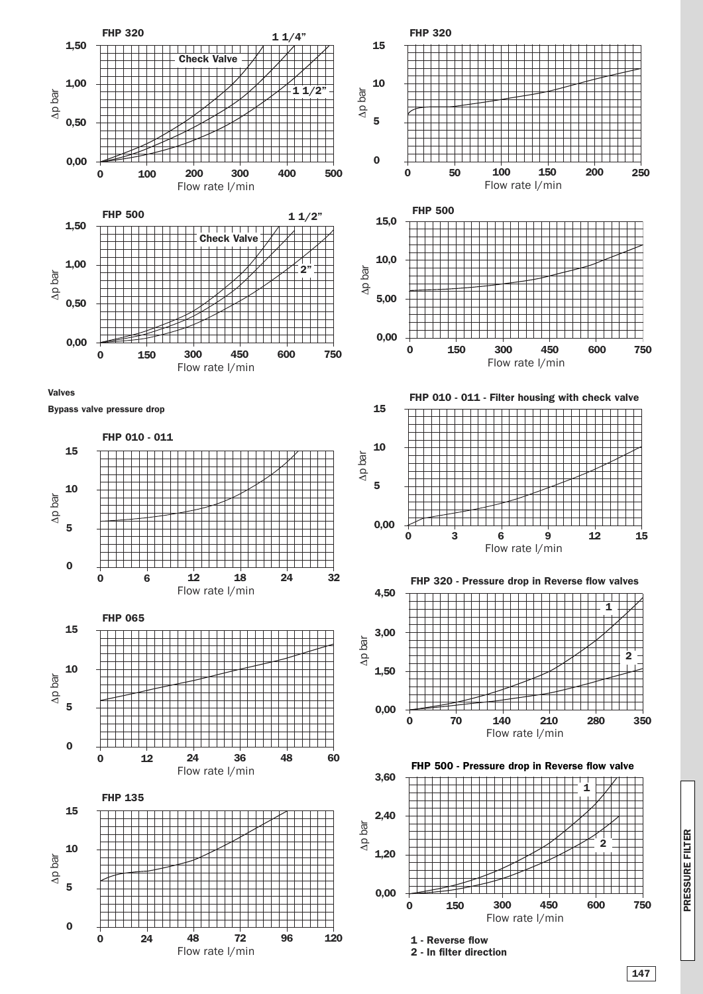

**P RES S U RE FILTER**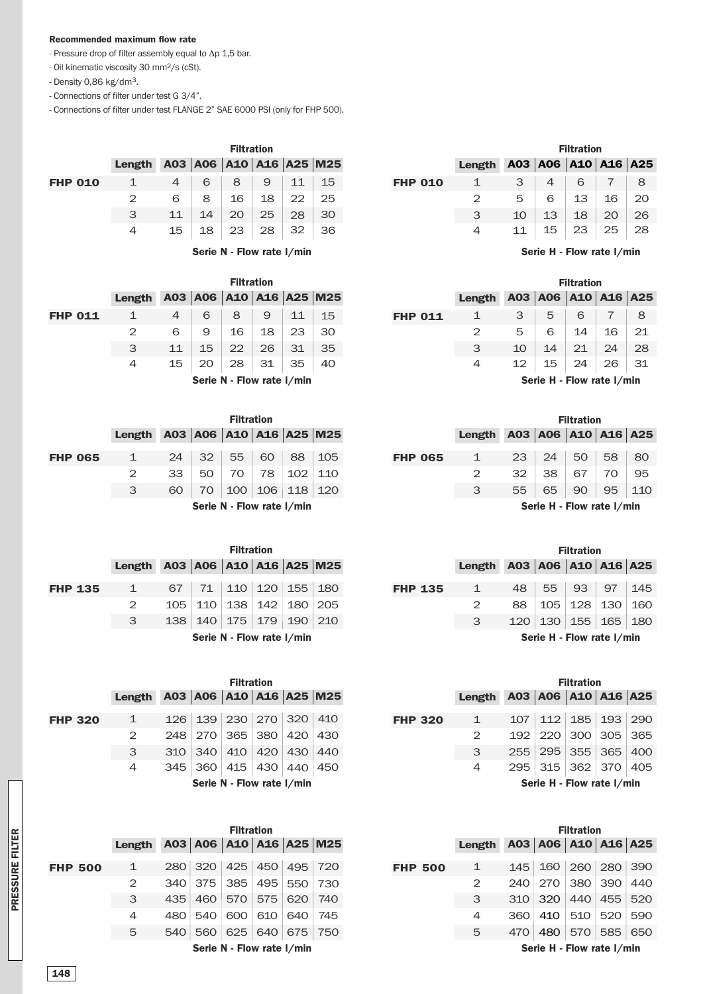#### **Recommended maximum flow rate**

- Pressure drop of filter assembly equal to Δp 1,5 bar.
- Oil kinematic viscosity 30 mm2/s (cSt).
- Density 0,86 kg/dm3.
- Connections of filter under test G 3/4".

- Connections of filter under test FLANGE 2" SAE 6000 PSI (only for FHP 500).

|                |                                            |    |                 | <b>Filtration</b> |                              |    |    |
|----------------|--------------------------------------------|----|-----------------|-------------------|------------------------------|----|----|
|                | Length $A03   A06   A10   A16   A25   M25$ |    |                 |                   |                              |    |    |
| <b>FHP 010</b> |                                            |    | 6               | 8                 | 9                            | 11 | 15 |
|                | $\mathcal{P}$                              | 6  | 8               | 16 <sup>1</sup>   | 18 <sup>1</sup>              | 22 | 25 |
|                | 3                                          | 11 | 14              | 20                | 25                           | 28 | 30 |
|                |                                            | 15 | 18 <sup>1</sup> |                   | $23 \mid 28 \mid 32 \mid 36$ |    |    |
|                |                                            |    |                 |                   |                              |    |    |

**Serie N - Flow rate l/min**

|                |                |                         |                           | <b>Filtration</b> |    |    |    |  |
|----------------|----------------|-------------------------|---------------------------|-------------------|----|----|----|--|
|                | Length         | A03 A06 A10 A16 A25 M25 |                           |                   |    |    |    |  |
| <b>FHP 011</b> | 1              | $\overline{4}$          | 6                         | 8                 | 9  | 11 | 15 |  |
|                | $\overline{2}$ | 6                       | 9                         | 16                | 18 | 23 | 30 |  |
|                | 3              | 11                      | 15                        | 22                | 26 | 31 | 35 |  |
|                | 4              | 15                      | 20                        | 28                | 31 | 35 | 40 |  |
|                |                |                         | Serie N - Flow rate I/min |                   |    |    |    |  |

|                |                                |    |                 | <b>Filtration</b>         |    |                 |     |
|----------------|--------------------------------|----|-----------------|---------------------------|----|-----------------|-----|
|                | Length A03 A06 A10 A16 A25 M25 |    |                 |                           |    |                 |     |
|                |                                |    |                 |                           |    |                 |     |
| <b>FHP 065</b> | $\mathbf{1}$                   | 24 | 32 <sup>1</sup> | $55 \mid$                 | 60 | 88              | 105 |
|                | $\mathcal{P}$                  | 33 | 50              | 70                        | 78 | 102             | 110 |
|                | З                              | 60 | 70              | 100                       |    | 106   118   120 |     |
|                |                                |    |                 | Serie N - Flow rate I/min |    |                 |     |

|                |                                |     |                           | <b>Filtration</b> |                             |  |
|----------------|--------------------------------|-----|---------------------------|-------------------|-----------------------------|--|
|                | Length A03 A06 A10 A16 A25 M25 |     |                           |                   |                             |  |
| <b>FHP 135</b> | $\mathbf{1}$                   | 67  | 71 l                      |                   | 110   120   155   180       |  |
|                | $\mathcal{P}$                  | 105 |                           |                   | 110   138   142   180   205 |  |
|                | 3                              | 138 |                           |                   | 140   175   179   190   210 |  |
|                |                                |     | Serie N - Flow rate I/min |                   |                             |  |

|                |              |                         |                                   | <b>Filtration</b> |  |  |
|----------------|--------------|-------------------------|-----------------------------------|-------------------|--|--|
|                | Length       | A03 A06 A10 A16 A25 M25 |                                   |                   |  |  |
| <b>FHP 320</b> | $\mathbf{1}$ |                         | 126   139   230   270   320   410 |                   |  |  |
|                | 2            |                         | 248   270   365   380   420   430 |                   |  |  |
|                | 3            | 310                     | 340   410   420   430   440       |                   |  |  |
|                | 4            |                         | 345   360   415   430   440   450 |                   |  |  |
|                |              |                         | Serie N - Flow rate I/min         |                   |  |  |

|                |        |     |                         | <b>Filtration</b>         |     |         |                                   |
|----------------|--------|-----|-------------------------|---------------------------|-----|---------|-----------------------------------|
|                | Length |     |                         |                           |     |         | A03   A06   A10   A16   A25   M25 |
| <b>FHP 500</b> | 1      |     | 280 320 425 450 495 720 |                           |     |         |                                   |
|                | 2      | 340 |                         | 375 385 495 550           |     |         | 730                               |
|                | 3      | 435 |                         | 460   570   575   620     |     |         | 740                               |
|                | 4      | 480 | 540                     | 600                       | 610 | 640     | 745                               |
|                | 5      | 540 | 560                     | 625                       |     | 640 675 | 750                               |
|                |        |     |                         | Serie N - Flow rate I/min |     |         |                                   |

|   | 3  |    | 6  |    | 8                                                                                 |
|---|----|----|----|----|-----------------------------------------------------------------------------------|
| 2 | 5  | 6  | 13 | 16 | 20                                                                                |
| 3 | 10 | 13 | 18 | 20 | 26                                                                                |
|   | 11 |    |    |    |                                                                                   |
|   |    |    |    | 15 | <b>Filtration</b><br>Length $A03   A06   A10   A16   A25$<br>$23 \mid 25 \mid 28$ |

**Serie H - Flow rate l/min**

|                |        |                   |                     | <b>Filtration</b>                                                 |    |    |
|----------------|--------|-------------------|---------------------|-------------------------------------------------------------------|----|----|
|                | Length |                   | A03 A06 A10 A16 A25 |                                                                   |    |    |
| <b>FHP 011</b> | 1      | 3                 | 5                   | 6                                                                 |    | 8  |
|                | 2      | 5                 | 6                   | 14                                                                | 16 | 21 |
|                | 3      | 10                | 14                  | 21                                                                | 24 | 28 |
|                | 4      | $12 \overline{ }$ | 15                  | $\begin{array}{ c c c c c } \hline 24 & 26 \\ \hline \end{array}$ |    | 31 |
|                |        |                   | $Csub$ $H$          | $E_{\text{out}}$ sata $\frac{1}{2}$ main                          |    |    |

**Serie H - Flow rate l/min**

|       | <b>Filtration</b> |     |                       |                |               |                     |                           | <b>Filtration</b> |    |
|-------|-------------------|-----|-----------------------|----------------|---------------|---------------------|---------------------------|-------------------|----|
|       |                   |     | \10   A16   A25   M25 |                | <b>Length</b> | A03 A06 A10 A16 A25 |                           |                   |    |
| 55    | 60                | 88  | 105                   | <b>FHP 065</b> | $\mathbf{1}$  | 23                  | 24                        | 50                | 58 |
| 70    | 78                | 102 | 110                   |                | 2             | 32                  | 38                        | 67                | 70 |
| 100 l | 106               | 118 | 120                   |                | 3             | 55                  | 65                        | 90                | 95 |
|       | - Flow rate I/min |     |                       |                |               |                     | Serie H - Flow rate I/min |                   |    |

| <b>Filtration</b>     |         |                 |                |         |                             |                           | <b>Filtration</b> |                 |  |
|-----------------------|---------|-----------------|----------------|---------|-----------------------------|---------------------------|-------------------|-----------------|--|
|                       |         | 110 A16 A25 M25 |                | Length  | A03   A06   A10   A16   A25 |                           |                   |                 |  |
| 110   120   155   180 |         |                 | <b>FHP 135</b> | $\perp$ | 48                          | 55                        | 93                | 97              |  |
| 138   142   180   205 |         |                 |                | 2       | 88                          |                           |                   | 105   128   130 |  |
| 175   179             | 190 210 |                 |                | 3       | $120 \mid$                  | 130   155   165           |                   |                 |  |
| - Flow rate I/min     |         |                 |                |         |                             | Serie H - Flow rate I/min |                   |                 |  |

| <b>Filtration</b>     |         |                       |                |              |     |                             | <b>Filtration</b> |  |
|-----------------------|---------|-----------------------|----------------|--------------|-----|-----------------------------|-------------------|--|
|                       |         | \10   A16   A25   M25 |                | Length       |     | A03   A06   A10   A16   A25 |                   |  |
| 230   270   320   410 |         |                       | <b>FHP 320</b> | $\mathbf{1}$ | 107 |                             | 112   185   193   |  |
| 365   380   420   430 |         |                       |                |              |     | 192   220   300   305       |                   |  |
| 410   420   430   440 |         |                       |                | 3            | 255 | 295   355   365             |                   |  |
| 115   430             | 440 450 |                       |                | 4            |     | 295 315 362 370             |                   |  |
| - Flow rate I/min     |         |                       |                |              |     | Serie H - Flow rate I/min   |                   |  |

| <b>Filtration</b> |                   |     |                       |  |                |               | <b>Filtration</b> |                             |     |     |  |
|-------------------|-------------------|-----|-----------------------|--|----------------|---------------|-------------------|-----------------------------|-----|-----|--|
|                   |                   |     | 410   A16   A25   M25 |  |                | <b>Length</b> |                   | A03   A06   A10   A16   A25 |     |     |  |
| 125               | 450               | 495 | 720                   |  | <b>FHP 500</b> | 1             | 145               | 160                         | 260 | 280 |  |
| 385               | 495               | 550 | 730                   |  |                | 2             | 240               | 270                         | 380 | 390 |  |
| 570.              | 575               | 620 | 740                   |  | 3              | 310           | 320               | 440                         | 455 |     |  |
| 300 l             | 610               | 640 | 745                   |  |                | 4             | 360               | 410                         | 510 | 520 |  |
| 325               | 640               | 675 | 750                   |  |                | 5             | 470               | 480                         | 570 | 585 |  |
|                   | - Flow rate I/min |     |                       |  |                |               |                   | Serie H - Flow rate I/min   |     |     |  |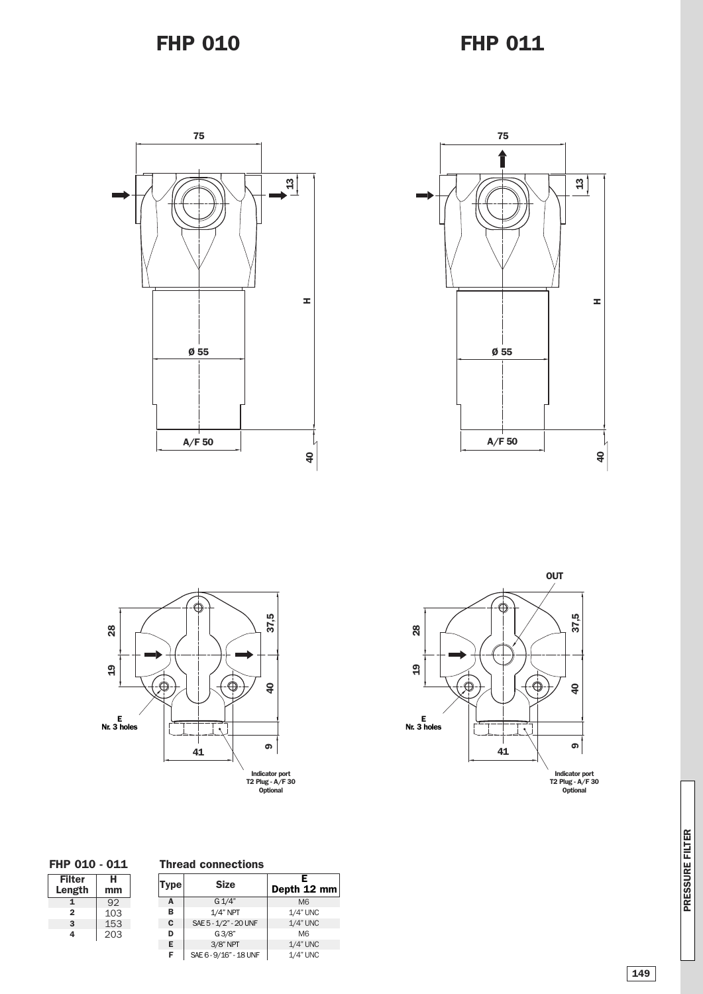







**P RES S U RE FILTER**



**Thread connections**

SAE6-9/16" - 18UNF

| <b>Filter</b> | н   |
|---------------|-----|
| Length        | mm  |
| 1             | 92  |
| 2             | 103 |
| з             | 153 |
| 4             | 203 |

| Type | <b>Size</b>            | Е<br>Depth $12 \text{ mm}$ |
|------|------------------------|----------------------------|
| A    | G 1/4"                 | M <sub>6</sub>             |
| в    | $1/4$ " NPT            | $1/4$ " UNC                |
| C    | SAE 5 - 1/2" - 20 UNF  | $1/4$ " UNC                |
| D    | G3/8"                  | M <sub>6</sub>             |
| Е    | 3/8" NPT               | $1/4$ " UNC                |
| F    | SAE 6 - 9/16" - 18 UNF | $1/4$ " UNC                |

1/4"UNC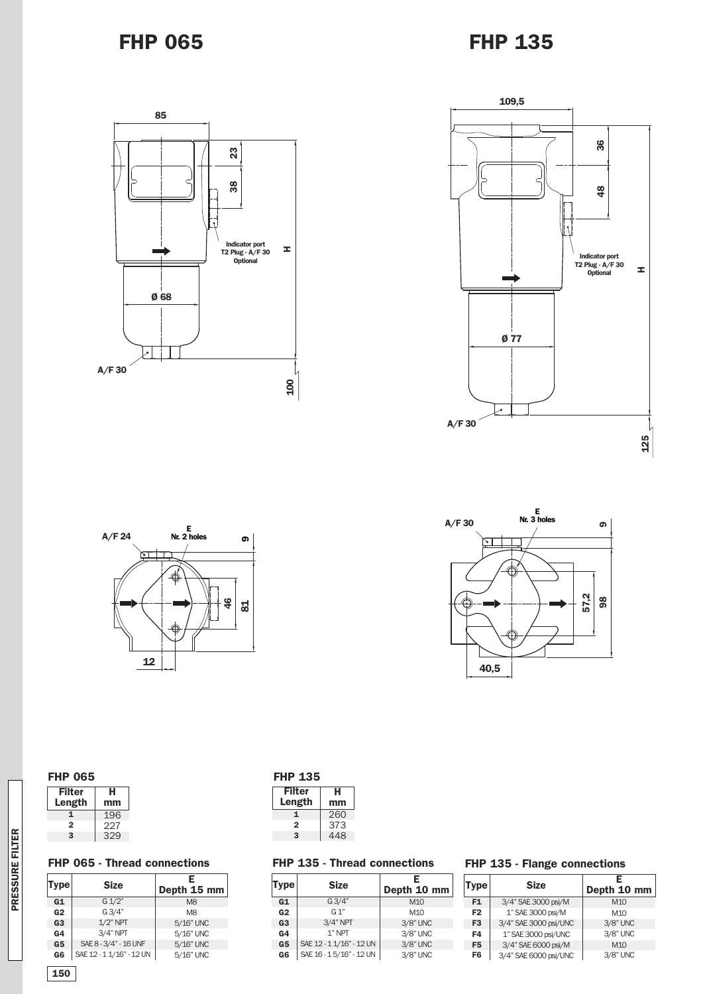### **FHP 065**

## **FHP 135**









| <b>FHP 065</b> | <b>FHP 135</b> |
|----------------|----------------|
|----------------|----------------|

| Filter<br>Length | н<br>mm |
|------------------|---------|
|                  | 196     |
| 2                | 227     |
| з                | 329     |

| Filter | н   |
|--------|-----|
| Length | mm  |
|        | 260 |
| 2      | 373 |
| з      | 448 |
|        |     |

#### **FHP 065 - Thread connections**

| Type           | <b>Size</b>              | E<br>Depth 15 mm |
|----------------|--------------------------|------------------|
| G1             | $G \frac{1}{2}$          | M <sub>8</sub>   |
| G <sub>2</sub> | G3/4"                    | M <sub>8</sub>   |
| G <sub>3</sub> | $1/2$ " NPT              | 5/16" UNC        |
| G4             | $3/4"$ NPT               | 5/16" UNC        |
| G <sub>5</sub> | SAE 8 - 3/4" - 16 UNF    | 5/16" UNC        |
| G6             | SAE 12 - 1 1/16" - 12 UN | 5/16" UNC        |

#### **FHP 135 - Thread connections**

| <b>Type</b>    | <b>Size</b>              | Е<br>Depth 10 mm |
|----------------|--------------------------|------------------|
| G1             | G3/4"                    | M <sub>10</sub>  |
| G <sub>2</sub> | $G_1$ "                  | M <sub>10</sub>  |
| G <sub>3</sub> | $3/4"$ NPT               | 3/8" UNC         |
| G <sub>4</sub> | $1"$ NPT                 | 3/8" UNC         |
| G <sub>5</sub> | SAE 12 - 1 1/16" - 12 UN | 3/8" UNC         |
| G <sub>6</sub> | SAE 16 - 15/16" - 12 UN  | 3/8" UNC         |

#### **FHP 135 - Flange connections**

| Type           | <b>Size</b>           | E<br>Depth 10 mm |
|----------------|-----------------------|------------------|
| F1             | 3/4" SAE 3000 psi/M   | M <sub>10</sub>  |
| F <sub>2</sub> | 1" SAE 3000 psi/M     | M1O              |
| F <sub>3</sub> | 3/4" SAE 3000 psi/UNC | 3/8" UNC         |
| F4             | 1" SAE 3000 psi/UNC   | 3/8" UNC         |
| F <sub>5</sub> | 3/4" SAE 6000 psi/M   | M <sub>10</sub>  |
| F <sub>6</sub> | 3/4" SAE 6000 psi/UNC | 3/8" UNC         |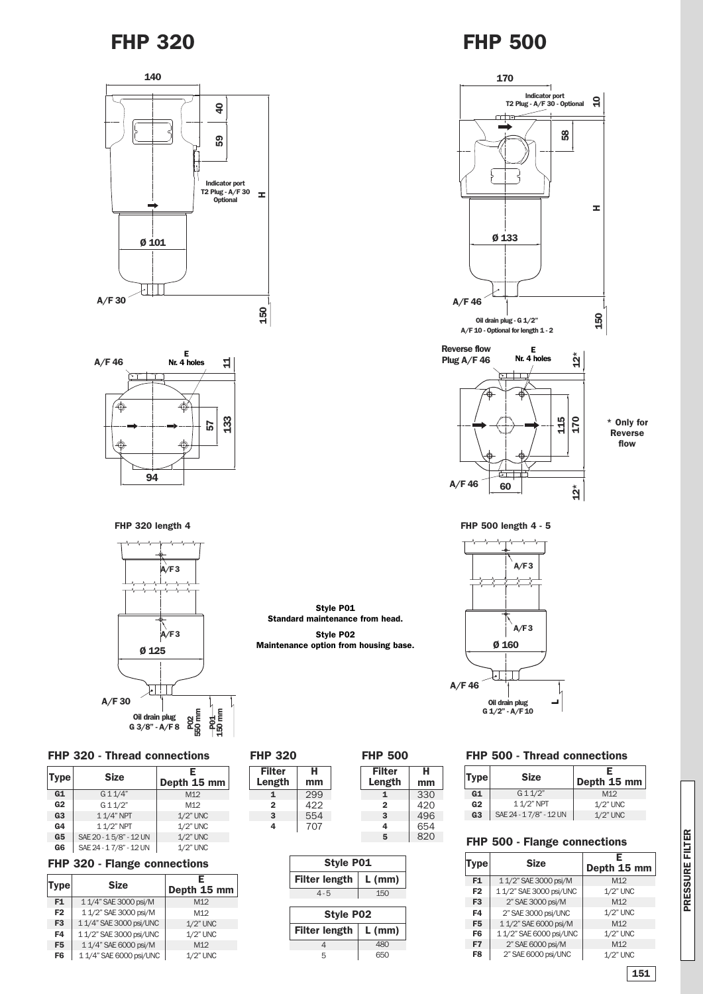



**FHP 320 length 4**



#### **FHP 320 - Thread connections**

| Type           | <b>Size</b>            | E<br>Depth 15 mm |
|----------------|------------------------|------------------|
| G1             | G11/4"                 | M <sub>12</sub>  |
| G <sub>2</sub> | G11/2"                 | M <sub>12</sub>  |
| G <sub>3</sub> | 1 1/4" NPT             | $1/2$ " UNC      |
| G <sub>4</sub> | 1 1/2" NPT             | 1/2" UNC         |
| G <sub>5</sub> | SAE 20 - 15/8" - 12 UN | $1/2$ " UNC      |
| G6             | SAE 24 - 17/8" - 12 UN | 1/2" UNC         |

### **FHP 320 - Flange connections**

| Type           | <b>Size</b>             | F.<br>Depth 15 mm |
|----------------|-------------------------|-------------------|
| F1             | 1 1/4" SAE 3000 psi/M   | M <sub>12</sub>   |
| F <sub>2</sub> | 1 1/2" SAE 3000 psi/M   | M <sub>12</sub>   |
| F <sub>3</sub> | 1 1/4" SAE 3000 psi/UNC | $1/2$ " UNC       |
| F4             | 1 1/2" SAE 3000 psi/UNC | 1/2" UNC          |
| F5             | 1 1/4" SAE 6000 psi/M   | M <sub>12</sub>   |
| F6             | 1 1/4" SAE 6000 psi/UNC | $1/2$ " UNC       |

| <b>FHP 320</b>          |         | <b>FHP 500</b>          |
|-------------------------|---------|-------------------------|
| <b>Filter</b><br>Length | н<br>mm | <b>Filter</b><br>Length |
| 1                       | 299     |                         |
| 2                       | 422     | $\overline{2}$          |
| 3                       | 554     | 3                       |
| 4                       | 707     |                         |
|                         |         |                         |

**Style P01 Standard maintenance from head. Style P02 Maintenance option from housing base.**

| Style P01                        |          |  |  |  |  |  |  |
|----------------------------------|----------|--|--|--|--|--|--|
| <b>Filter length</b><br>$L$ (mm) |          |  |  |  |  |  |  |
| $4 - 5$                          | 150      |  |  |  |  |  |  |
|                                  |          |  |  |  |  |  |  |
|                                  |          |  |  |  |  |  |  |
| <b>Style P02</b>                 |          |  |  |  |  |  |  |
| <b>Filter length</b>             | $L$ (mm) |  |  |  |  |  |  |
|                                  | 480      |  |  |  |  |  |  |

> > **4 5**

**H mm**



**\* Only for Reverse flow**

**12\***

**FHP 500 length 4 - 5**

**60**

**A/F 46**



#### **FHP 500 - Thread connections**

| <b>Type</b>    | <b>Size</b>            | F<br>Depth $15$ mm |
|----------------|------------------------|--------------------|
| G1             | G11/2"                 | M <sub>12</sub>    |
| G <sub>2</sub> | $11/2$ " NPT           | $1/2$ " UNC        |
| G <sub>3</sub> | SAE 24 - 17/8" - 12 UN | $1/2$ " UNC        |

#### 820 **FHP 500 - Flange connections**

| Type           | <b>Size</b>             | Е<br>Depth 15 mm |
|----------------|-------------------------|------------------|
| F <sub>1</sub> | 1 1/2" SAE 3000 psi/M   | M <sub>12</sub>  |
| F <sub>2</sub> | 1 1/2" SAE 3000 psi/UNC | 1/2" UNC         |
| F <sub>3</sub> | 2" SAE 3000 psi/M       | M <sub>12</sub>  |
| F4             | 2" SAE 3000 psi/UNC     | 1/2" UNC         |
| F <sub>5</sub> | 1 1/2" SAE 6000 psi/M   | M12              |
| F <sub>6</sub> | 1 1/2" SAE 6000 psi/UNC | 1/2" UNC         |
| F7             | 2" SAE 6000 psi/M       | M <sub>12</sub>  |
| F8             | 2" SAE 6000 psi/UNC     | $1/2$ " UNC      |

**P RES S U RE FILTER**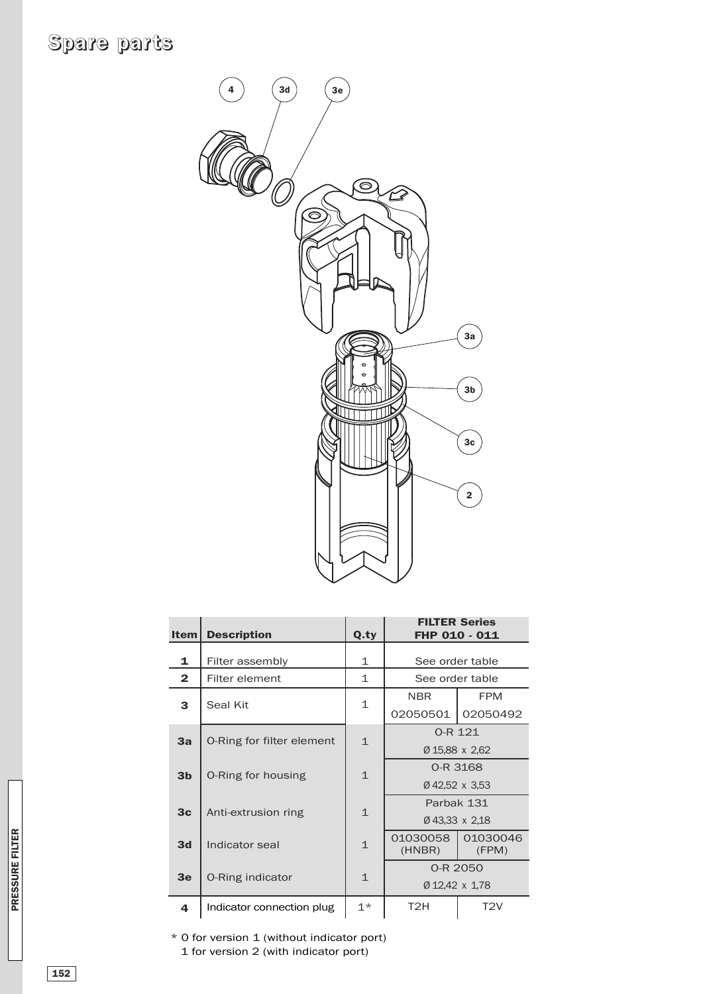# **Spare parts**



|                              | <b>Item</b>    | <b>Description</b>        | Q.ty         | FHP 010 - 011      | <b>FILTER Series</b> |  |
|------------------------------|----------------|---------------------------|--------------|--------------------|----------------------|--|
|                              | 1              | Filter assembly           | 1            | See order table    |                      |  |
|                              | $\overline{2}$ | Filter element            | $\mathbf 1$  | See order table    |                      |  |
|                              | 3              | Seal Kit                  |              | <b>NBR</b>         | <b>FPM</b>           |  |
|                              |                |                           | $\mathbf{1}$ | 02050501           | 02050492             |  |
|                              | 3a             | O-Ring for filter element | $\mathbf{1}$ | O-R 121            |                      |  |
|                              |                |                           |              |                    | Ø 15,88 x 2,62       |  |
|                              | 3 <sub>b</sub> | O-Ring for housing        | $\mathbf{1}$ |                    | 0-R 3168             |  |
|                              |                |                           |              | Ø42,52 x 3,53      |                      |  |
|                              | 3 <sub>c</sub> | Anti-extrusion ring       | $\mathbf{1}$ | Parbak 131         |                      |  |
|                              |                |                           |              | Ø43.33 x 2.18      |                      |  |
| <b>PRESSURE FILTER</b><br>3d |                | Indicator seal            | $\mathbf{1}$ | 01030058<br>(HNBR) | 01030046<br>(FPM)    |  |
|                              |                |                           |              | 0-R 2050           |                      |  |
| 3 <sub>e</sub>               |                | O-Ring indicator          | $\mathbf{1}$ |                    | Ø 12,42 x 1,78       |  |
|                              | 4              | Indicator connection plug | $1*$         | T <sub>2</sub> H   | T2V                  |  |

\* 0 for version 1 (without indicator port) 1 for version 2 (with indicator port)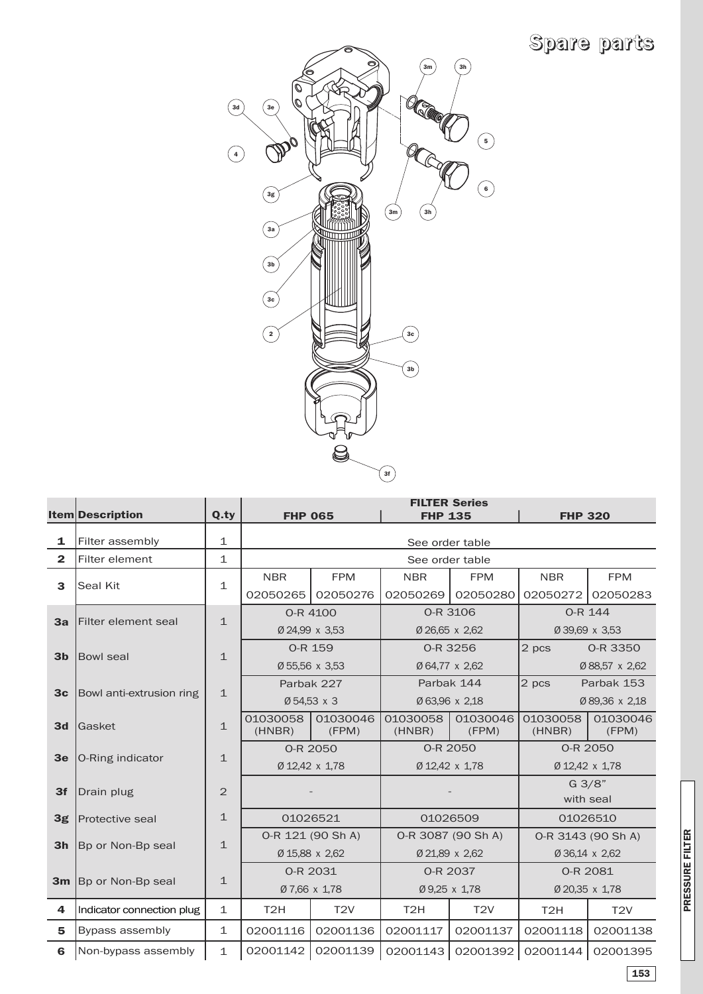# **Spare parts**



|                | <b>Item</b> Description   | Q.ty           | <b>FILTER Series</b><br><b>FHP 065</b><br><b>FHP 135</b><br><b>FHP 320</b> |                   |                    |                    |                     |                   |  |  |  |  |
|----------------|---------------------------|----------------|----------------------------------------------------------------------------|-------------------|--------------------|--------------------|---------------------|-------------------|--|--|--|--|
|                |                           |                |                                                                            |                   |                    |                    |                     |                   |  |  |  |  |
| 1              | Filter assembly           | $\mathbf{1}$   |                                                                            | See order table   |                    |                    |                     |                   |  |  |  |  |
| $\mathbf{2}$   | Filter element            | $\mathbf{1}$   |                                                                            |                   | See order table    |                    |                     |                   |  |  |  |  |
| 3              | <b>Seal Kit</b>           |                | <b>NBR</b>                                                                 | <b>FPM</b>        | <b>NBR</b>         | <b>FPM</b>         | <b>NBR</b>          | <b>FPM</b>        |  |  |  |  |
|                |                           | $\mathbf{1}$   | 02050265                                                                   | 02050276          | 02050269           | 02050280           | 02050272            | 02050283          |  |  |  |  |
|                |                           |                |                                                                            | O-R 4100          |                    | 0-R 3106           | O-R 144             |                   |  |  |  |  |
| 3a             | Filter element seal       | $\mathbf{1}$   |                                                                            | Ø 24,99 x 3,53    | Ø 26,65 x 2,62     |                    | Ø 39,69 x 3,53      |                   |  |  |  |  |
|                |                           |                | O-R 159                                                                    |                   |                    | 0-R 3256           | 2 pcs               | 0-R 3350          |  |  |  |  |
| 3 <sub>b</sub> | <b>Bowl seal</b>          | $\mathbf{1}$   |                                                                            | Ø 55,56 x 3,53    |                    | Ø 64,77 x 2,62     |                     | Ø 88,57 x 2,62    |  |  |  |  |
|                |                           |                |                                                                            | Parbak 227        | Parbak 144         |                    | 2 pcs<br>Parbak 153 |                   |  |  |  |  |
| 3 <sub>c</sub> | Bowl anti-extrusion ring  | $\mathbf{1}$   | Ø 54,53 x 3                                                                |                   | Ø 63,96 x 2,18     |                    | Ø 89,36 x 2,18      |                   |  |  |  |  |
| 3d             | <b>IGasket</b>            | $\mathbf{1}$   | 01030058<br>(HNBR)                                                         | 01030046<br>(FPM) | 01030058<br>(HNBR) | 01030046<br>(FPM)  | 01030058<br>(HNBR)  | 01030046<br>(FPM) |  |  |  |  |
|                |                           |                |                                                                            | 0-R 2050          |                    | 0-R 2050           |                     | 0-R 2050          |  |  |  |  |
| 3 <sub>e</sub> | O-Ring indicator          | $\mathbf{1}$   | Ø 12,42 x 1,78                                                             |                   |                    | Ø 12,42 x 1,78     | Ø 12,42 x 1,78      |                   |  |  |  |  |
| 3f             | Drain plug                | $\overline{2}$ |                                                                            |                   |                    |                    | $G \frac{3}{8}$     |                   |  |  |  |  |
|                |                           |                |                                                                            |                   |                    |                    | with seal           |                   |  |  |  |  |
| 3g             | <b>Protective seal</b>    | $\mathbf{1}$   |                                                                            | 01026521          |                    | 01026509           | 01026510            |                   |  |  |  |  |
| 3 <sub>h</sub> |                           | $\mathbf{1}$   | 0-R 121 (90 Sh A)                                                          |                   |                    | 0-R 3087 (90 Sh A) | O-R 3143 (90 Sh A)  |                   |  |  |  |  |
|                | Bp or Non-Bp seal         |                |                                                                            | Ø 15,88 x 2,62    | Ø 21,89 x 2,62     |                    | Ø 36,14 x 2,62      |                   |  |  |  |  |
|                | Bp or Non-Bp seal         | $\mathbf{1}$   |                                                                            | 0-R 2031          |                    | 0-R 2037           | 0-R 2081            |                   |  |  |  |  |
| 3m             |                           |                |                                                                            | Ø 7,66 x 1,78     | Ø 9,25 x 1,78      |                    |                     | Ø 20,35 x 1,78    |  |  |  |  |
| 4              | Indicator connection plug | $\mathbf 1$    | T <sub>2</sub> H                                                           | T <sub>2V</sub>   | T <sub>2</sub> H   | T <sub>2V</sub>    | T <sub>2</sub> H    | T2V               |  |  |  |  |
| 5              | Bypass assembly           | $\mathbf{1}$   | 02001116                                                                   | 02001136          | 02001117           | 02001137           | 02001118            | 02001138          |  |  |  |  |
| 6              | Non-bypass assembly       | $\mathbf{1}$   | 02001142                                                                   | 02001139          |                    | 02001143 02001392  | 02001144            | 02001395          |  |  |  |  |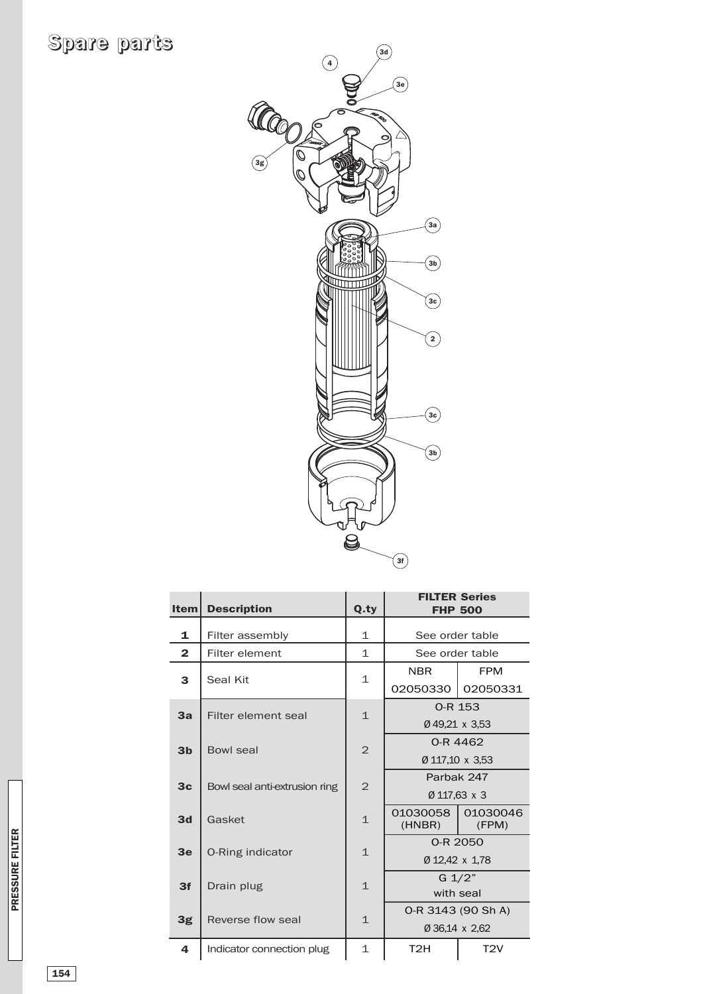

| <b>Item</b>    | <b>Description</b>            | Q.ty           | <b>FILTER Series</b><br><b>FHP 500</b>  |                 |  |  |
|----------------|-------------------------------|----------------|-----------------------------------------|-----------------|--|--|
| 1              | Filter assembly               | $\mathbf 1$    |                                         | See order table |  |  |
| $\overline{2}$ | Filter element                | $\mathbf{1}$   | See order table                         |                 |  |  |
| 3              | Seal Kit                      | 1              | <b>NBR</b>                              | <b>FPM</b>      |  |  |
|                |                               |                | 02050330                                | 02050331        |  |  |
| 3a             | Filter element seal           |                |                                         | 0-R 153         |  |  |
|                |                               | $\mathbf{1}$   | Ø49,21 x 3,53                           |                 |  |  |
| 3 <sub>b</sub> | <b>Bowl seal</b>              | $\overline{2}$ | 0-R 4462                                |                 |  |  |
|                |                               |                | Ø 117,10 x 3,53                         |                 |  |  |
| 3 <sub>c</sub> | Bowl seal anti-extrusion ring | $\overline{2}$ |                                         | Parbak 247      |  |  |
|                |                               |                | Ø 117,63 x 3                            |                 |  |  |
| 3d             | Gasket                        | $\mathbf{1}$   | 01030058<br>01030046<br>(HNBR)<br>(FPM) |                 |  |  |
| 3 <sub>e</sub> |                               | $\mathbf{1}$   | 0-R 2050                                |                 |  |  |
|                | O-Ring indicator              |                | Ø 12,42 x 1,78                          |                 |  |  |
| 3f             | Drain plug                    | $\mathbf{1}$   | $G \frac{1}{2}$                         |                 |  |  |
|                |                               |                | with seal                               |                 |  |  |
| 3g             | Reverse flow seal             | $\mathbf{1}$   | 0-R 3143 (90 Sh A)                      |                 |  |  |
|                |                               |                |                                         | Ø 36,14 x 2,62  |  |  |
| 4              | Indicator connection plug     | $\mathbf{1}$   | T <sub>2</sub> H                        | T2V             |  |  |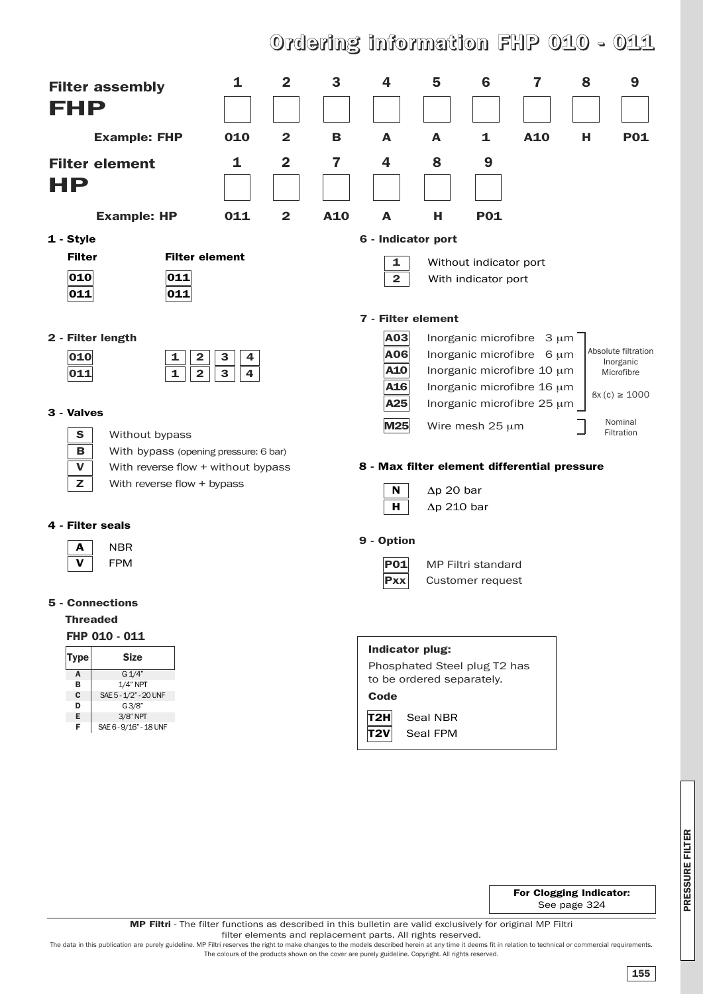# **Ordering information FHP 010 - 011**

| <b>Filter assembly</b><br>FHP<br><b>Example: FHP</b><br><b>Filter element</b> | 1<br>010<br>1                                           | $\mathbf{2}$<br>$\mathbf{2}$<br>$\overline{\mathbf{2}}$ | 3<br>B<br>7 | 4<br>A<br>4                                  | 5<br>A<br>8                             | 6<br>1<br>9               | 7<br>A10                   | 8<br>н | 9<br><b>P01</b>            |  |  |
|-------------------------------------------------------------------------------|---------------------------------------------------------|---------------------------------------------------------|-------------|----------------------------------------------|-----------------------------------------|---------------------------|----------------------------|--------|----------------------------|--|--|
| HP                                                                            |                                                         |                                                         |             |                                              |                                         |                           |                            |        |                            |  |  |
|                                                                               |                                                         |                                                         |             |                                              |                                         |                           |                            |        |                            |  |  |
| <b>Example: HP</b>                                                            | 011                                                     | $\mathbf{2}$                                            | A10         | A                                            | н                                       | <b>P01</b>                |                            |        |                            |  |  |
| 1 - Style                                                                     |                                                         |                                                         |             | 6 - Indicator port                           |                                         |                           |                            |        |                            |  |  |
| <b>Filter</b>                                                                 | <b>Filter element</b>                                   |                                                         |             | 1                                            |                                         | Without indicator port    |                            |        |                            |  |  |
| 010<br>011<br> 011 <br>011                                                    |                                                         |                                                         |             | $\overline{\mathbf{2}}$                      |                                         | With indicator port       |                            |        |                            |  |  |
|                                                                               |                                                         |                                                         |             | 7 - Filter element                           |                                         |                           |                            |        |                            |  |  |
| 2 - Filter length                                                             |                                                         |                                                         |             | A03                                          |                                         |                           | Inorganic microfibre 3 um  |        |                            |  |  |
| 010<br>1                                                                      | $\mathbf 2$<br>3<br>4                                   |                                                         |             | <b>A06</b>                                   |                                         |                           | Inorganic microfibre 6 um  |        | Absolute filtration        |  |  |
| $\mathbf{1}$<br>011                                                           | $\mathbf{2}$<br>$\mathbf{3}$<br>$\overline{\mathbf{4}}$ |                                                         |             | A10                                          |                                         |                           | Inorganic microfibre 10 µm |        | Inorganic<br>Microfibre    |  |  |
|                                                                               |                                                         |                                                         |             | A16                                          |                                         |                           | Inorganic microfibre 16 µm |        | $\text{fsx (c)} \geq 1000$ |  |  |
| 3 - Valves                                                                    |                                                         |                                                         |             | A25                                          | Inorganic microfibre 25 µm              |                           |                            |        |                            |  |  |
|                                                                               |                                                         |                                                         |             | M25                                          |                                         | Wire mesh 25 µm           |                            |        | Nominal<br>Filtration      |  |  |
| S<br>Without bypass<br>в<br>With bypass (opening pressure: 6 bar)             |                                                         |                                                         |             |                                              |                                         |                           |                            |        |                            |  |  |
| $\mathbf v$<br>With reverse flow + without bypass                             |                                                         |                                                         |             | 8 - Max filter element differential pressure |                                         |                           |                            |        |                            |  |  |
| z<br>With reverse flow + bypass                                               |                                                         |                                                         |             | N                                            |                                         |                           |                            |        |                            |  |  |
|                                                                               |                                                         |                                                         |             | н.                                           | $\Delta p$ 20 bar<br>$\Delta p$ 210 bar |                           |                            |        |                            |  |  |
| 4 - Filter seals                                                              |                                                         |                                                         |             |                                              |                                         |                           |                            |        |                            |  |  |
| <b>NBR</b><br>A                                                               |                                                         |                                                         |             | 9 - Option                                   |                                         |                           |                            |        |                            |  |  |
| v<br><b>FPM</b>                                                               |                                                         |                                                         |             | P01                                          |                                         | <b>MP Filtri standard</b> |                            |        |                            |  |  |
|                                                                               |                                                         |                                                         |             | <b>Pxx</b>                                   |                                         | Customer request          |                            |        |                            |  |  |
| <b>5 - Connections</b>                                                        |                                                         |                                                         |             |                                              |                                         |                           |                            |        |                            |  |  |
| <b>Threaded</b>                                                               |                                                         |                                                         |             |                                              |                                         |                           |                            |        |                            |  |  |
| FHP 010 - 011                                                                 |                                                         |                                                         |             |                                              |                                         |                           |                            |        |                            |  |  |
| <b>Size</b><br><b>Type</b>                                                    |                                                         |                                                         |             | Indicator plug:                              |                                         |                           |                            |        |                            |  |  |
| G 1/4"<br>Α                                                                   |                                                         |                                                         |             | Phosphated Steel plug T2 has                 |                                         |                           |                            |        |                            |  |  |
| $1/4"$ NPT<br>в                                                               |                                                         |                                                         |             | to be ordered separately.                    |                                         |                           |                            |        |                            |  |  |
| С<br>SAE 5 - 1/2" - 20 UNF<br>G3/8"<br>D                                      |                                                         |                                                         |             | Code                                         |                                         |                           |                            |        |                            |  |  |
| Е<br>3/8" NPT<br>F.<br>SAE 6 - 9/16" - 18 UNF                                 |                                                         |                                                         |             | T2H                                          | Seal NBR                                |                           |                            |        |                            |  |  |
|                                                                               |                                                         |                                                         |             | T2V                                          | Seal FPM                                |                           |                            |        |                            |  |  |

**For Clogging Indicator:** See page 324

The colours of the products shown on the cover are purely guideline. Copyright. All rights reserved.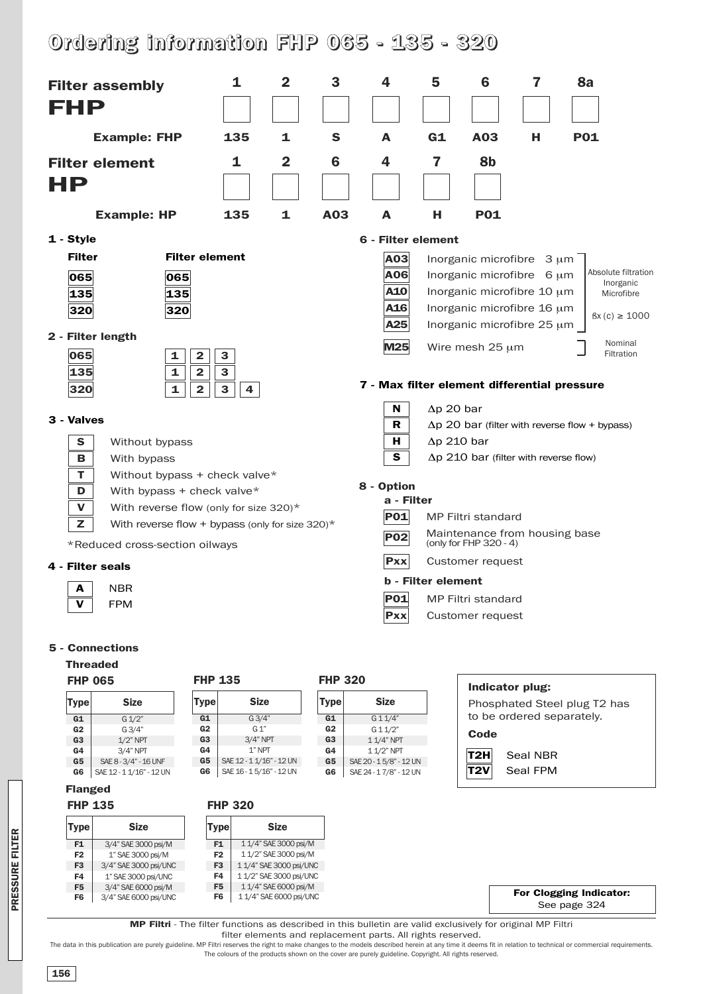# **Ordering information FHP 065 - 135 - 320**



**PRES S U RE FILTER**

**MP Filtri** - The filter functions as described in this bulletin are valid exclusively for original MP Filtri filter elements and replacement parts. All rights reserved. The data in this publication are purely guideline. MP Filtri reserves the right to make changes to the models described herein at any time it deems fit in relation to technical or commercial requirements.

**Size**

11/4" SAE3000psi/M 11/2" SAE3000psi/M 11/4" SAE3000psi/UNC 1 1/2" SAE 3000 psi/UNC 11/4" SAE6000psi/M 1 1/4" SAE 6000 psi/UNC

**F1 F2 F3 F4 F5 F6**

**Type**

**Size**

3/4" SAE3000psi/M 1" SAE3000psi/M 3/4" SAE 3000 psi/UNC  $1"$  SAE 3000 psi/UNC 3/4" SAE 6000 psi/M 3/4" SAE 6000 psi/UNC

The colours of the products shown on the cover are purely guideline. Copyright. All rights reserved.

**For Clogging Indicator:** See page 324

**F1 F2 F3 F4 F5 F6**

**Type**